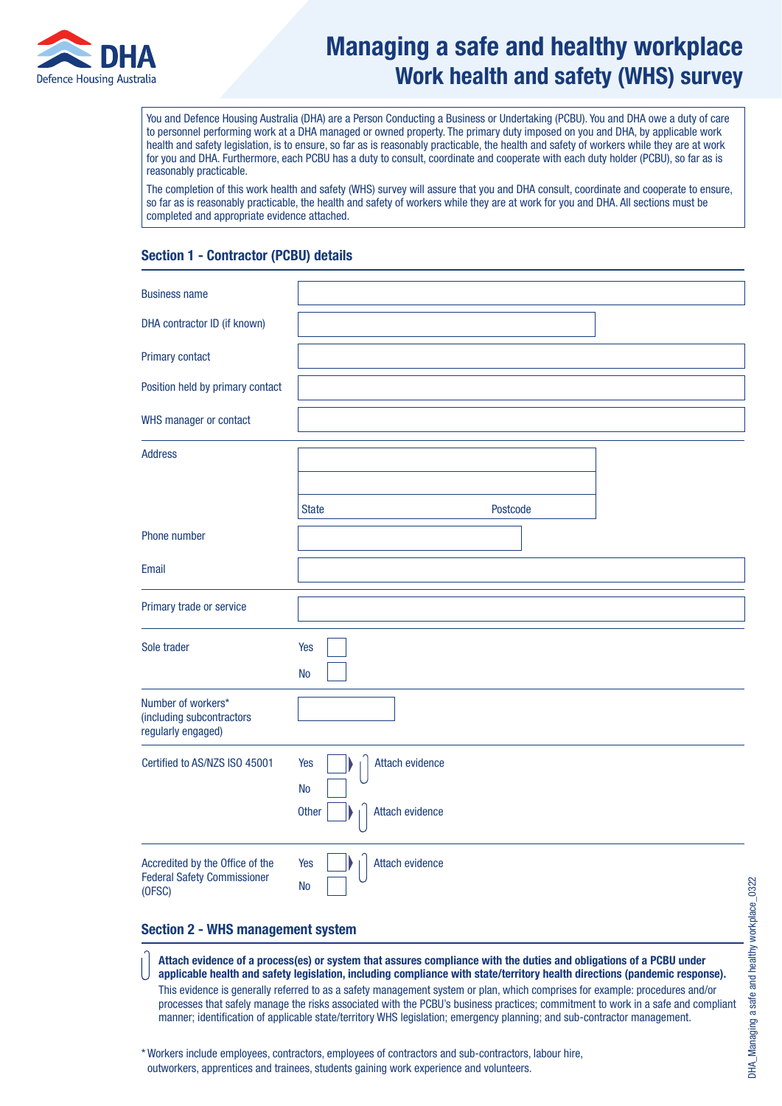

# Managing a safe and healthy workplace Work health and safety (WHS) survey

You and Defence Housing Australia (DHA) are a Person Conducting a Business or Undertaking (PCBU). You and DHA owe a duty of care to personnel performing work at a DHA managed or owned property. The primary duty imposed on you and DHA, by applicable work health and safety legislation, is to ensure, so far as is reasonably practicable, the health and safety of workers while they are at work for you and DHA. Furthermore, each PCBU has a duty to consult, coordinate and cooperate with each duty holder (PCBU), so far as is reasonably practicable.

The completion of this work health and safety (WHS) survey will assure that you and DHA consult, coordinate and cooperate to ensure, so far as is reasonably practicable, the health and safety of workers while they are at work for you and DHA. All sections must be completed and appropriate evidence attached.

# Section 1 - Contractor (PCBU) details

| <b>Business name</b>                                                            |                                     |
|---------------------------------------------------------------------------------|-------------------------------------|
| DHA contractor ID (if known)                                                    |                                     |
|                                                                                 |                                     |
| Primary contact                                                                 |                                     |
| Position held by primary contact                                                |                                     |
| WHS manager or contact                                                          |                                     |
| <b>Address</b>                                                                  |                                     |
|                                                                                 |                                     |
|                                                                                 | <b>State</b><br>Postcode            |
| Phone number                                                                    |                                     |
| Email                                                                           |                                     |
| Primary trade or service                                                        |                                     |
| Sole trader                                                                     | Yes                                 |
|                                                                                 | <b>No</b>                           |
| Number of workers*<br>(including subcontractors<br>regularly engaged)           |                                     |
| Certified to AS/NZS ISO 45001                                                   | Attach evidence<br>Yes              |
|                                                                                 | <b>No</b>                           |
|                                                                                 | <b>Other</b><br>Attach evidence     |
| Accredited by the Office of the<br><b>Federal Safety Commissioner</b><br>(OFSC) | Yes<br>Attach evidence<br><b>No</b> |

# Section 2 - WHS management system

Attach evidence of a process(es) or system that assures compliance with the duties and obligations of a PCBU under applicable health and safety legislation, including compliance with state/territory health directions (pandemic response).

This evidence is generally referred to as a safety management system or plan, which comprises for example: procedures and/or processes that safely manage the risks associated with the PCBU's business practices; commitment to work in a safe and compliant manner; identification of applicable state/territory WHS legislation; emergency planning; and sub-contractor management.

\* Workers include employees, contractors, employees of contractors and sub-contractors, labour hire, outworkers, apprentices and trainees, students gaining work experience and volunteers.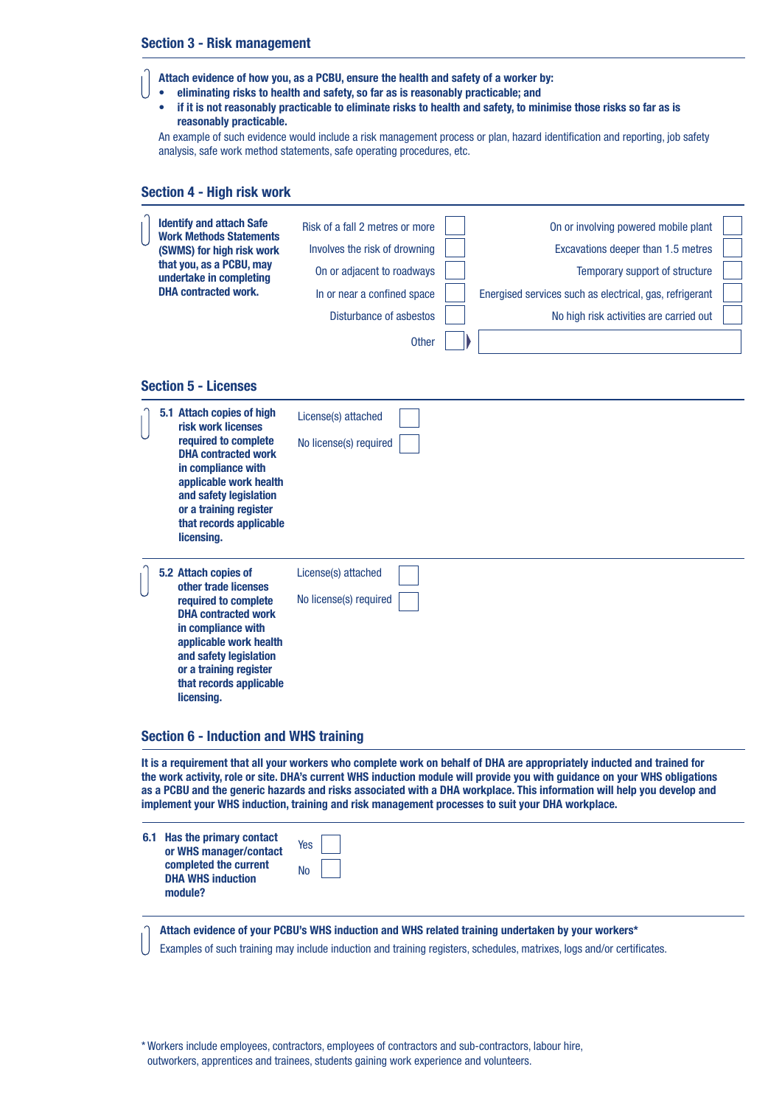#### Section 3 - Risk management

Attach evidence of how you, as a PCBU, ensure the health and safety of a worker by:

- eliminating risks to health and safety, so far as is reasonably practicable; and
	- if it is not reasonably practicable to eliminate risks to health and safety, to minimise those risks so far as is reasonably practicable.

An example of such evidence would include a risk management process or plan, hazard identification and reporting, job safety analysis, safe work method statements, safe operating procedures, etc.

#### Section 4 - High risk work

| <b>Identify and attach Safe</b><br><b>Work Methods Statements</b><br>(SWMS) for high risk work<br>that you, as a PCBU, may<br>undertake in completing<br><b>DHA</b> contracted work.                                                               | Risk of a fall 2 metres or more<br>Involves the risk of drowning<br>On or adjacent to roadways<br>In or near a confined space<br>Disturbance of asbestos<br><b>Other</b> | On or involving powered mobile plant<br>Excavations deeper than 1.5 metres<br>Temporary support of structure<br>Energised services such as electrical, gas, refrigerant<br>No high risk activities are carried out |  |
|----------------------------------------------------------------------------------------------------------------------------------------------------------------------------------------------------------------------------------------------------|--------------------------------------------------------------------------------------------------------------------------------------------------------------------------|--------------------------------------------------------------------------------------------------------------------------------------------------------------------------------------------------------------------|--|
| <b>Section 5 - Licenses</b>                                                                                                                                                                                                                        |                                                                                                                                                                          |                                                                                                                                                                                                                    |  |
| 5.1 Attach copies of high<br>risk work licenses<br>required to complete<br><b>DHA</b> contracted work<br>in compliance with<br>applicable work health<br>and safety legislation<br>or a training register<br>that records applicable<br>licensing. | License(s) attached<br>No license(s) required                                                                                                                            |                                                                                                                                                                                                                    |  |
| 5.2 Attach copies of<br>other trade licenses<br>required to complete<br><b>DHA</b> contracted work<br>in compliance with<br>applicable work health<br>and safety legislation<br>or a training register<br>that records applicable<br>licensing.    | License(s) attached<br>No license(s) required                                                                                                                            |                                                                                                                                                                                                                    |  |

#### Section 6 - Induction and WHS training

It is a requirement that all your workers who complete work on behalf of DHA are appropriately inducted and trained for the work activity, role or site. DHA's current WHS induction module will provide you with guidance on your WHS obligations as a PCBU and the generic hazards and risks associated with a DHA workplace. This information will help you develop and implement your WHS induction, training and risk management processes to suit your DHA workplace.

Attach evidence of your PCBU's WHS induction and WHS related training undertaken by your workers\*

Examples of such training may include induction and training registers, schedules, matrixes, logs and/or certificates.

<sup>\*</sup> Workers include employees, contractors, employees of contractors and sub-contractors, labour hire, outworkers, apprentices and trainees, students gaining work experience and volunteers.